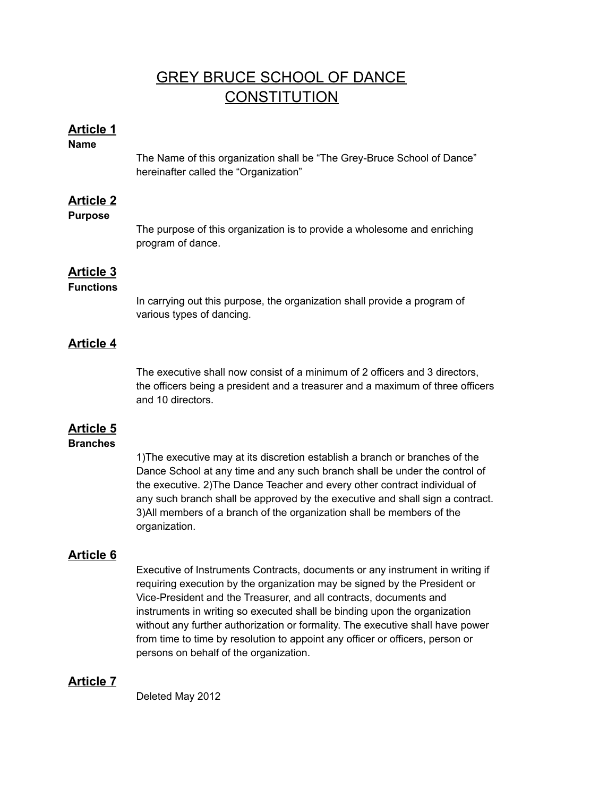# GREY BRUCE SCHOOL OF DANCE **CONSTITUTION**

## **Article 1**

**Name**

The Name of this organization shall be "The Grey-Bruce School of Dance" hereinafter called the "Organization"

## **Article 2**

#### **Purpose**

The purpose of this organization is to provide a wholesome and enriching program of dance.

## **Article 3**

#### **Functions**

In carrying out this purpose, the organization shall provide a program of various types of dancing.

## **Article 4**

The executive shall now consist of a minimum of 2 officers and 3 directors, the officers being a president and a treasurer and a maximum of three officers and 10 directors.

## **Article 5**

#### **Branches**

1)The executive may at its discretion establish a branch or branches of the Dance School at any time and any such branch shall be under the control of the executive. 2)The Dance Teacher and every other contract individual of any such branch shall be approved by the executive and shall sign a contract. 3)All members of a branch of the organization shall be members of the organization.

## **Article 6**

Executive of Instruments Contracts, documents or any instrument in writing if requiring execution by the organization may be signed by the President or Vice-President and the Treasurer, and all contracts, documents and instruments in writing so executed shall be binding upon the organization without any further authorization or formality. The executive shall have power from time to time by resolution to appoint any officer or officers, person or persons on behalf of the organization.

## **Article 7**

Deleted May 2012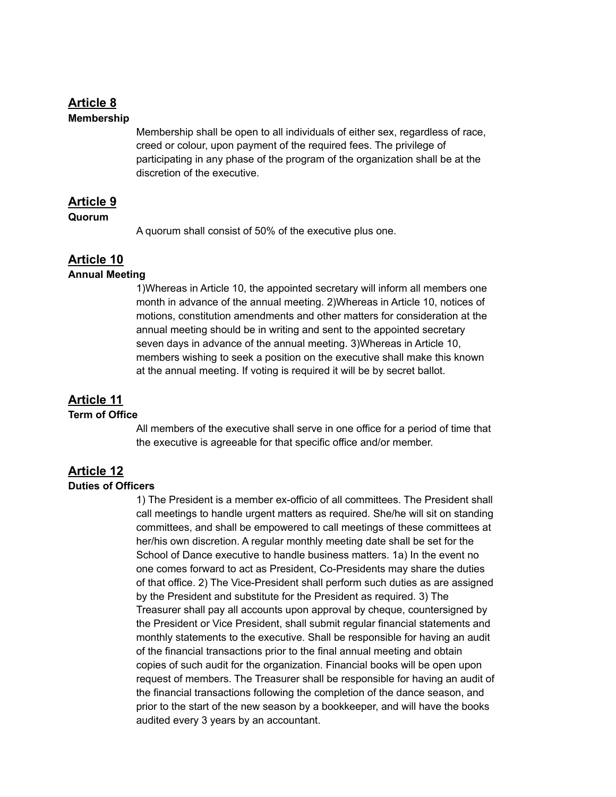#### **Article 8 Membership**

Membership shall be open to all individuals of either sex, regardless of race, creed or colour, upon payment of the required fees. The privilege of participating in any phase of the program of the organization shall be at the discretion of the executive.

### **Article 9**

#### **Quorum**

A quorum shall consist of 50% of the executive plus one.

## **Article 10**

#### **Annual Meeting**

1)Whereas in Article 10, the appointed secretary will inform all members one month in advance of the annual meeting. 2)Whereas in Article 10, notices of motions, constitution amendments and other matters for consideration at the annual meeting should be in writing and sent to the appointed secretary seven days in advance of the annual meeting. 3)Whereas in Article 10, members wishing to seek a position on the executive shall make this known at the annual meeting. If voting is required it will be by secret ballot.

## **Article 11**

#### **Term of Office**

All members of the executive shall serve in one office for a period of time that the executive is agreeable for that specific office and/or member.

## **Article 12**

#### **Duties of Officers**

1) The President is a member ex-officio of all committees. The President shall call meetings to handle urgent matters as required. She/he will sit on standing committees, and shall be empowered to call meetings of these committees at her/his own discretion. A regular monthly meeting date shall be set for the School of Dance executive to handle business matters. 1a) In the event no one comes forward to act as President, Co-Presidents may share the duties of that office. 2) The Vice-President shall perform such duties as are assigned by the President and substitute for the President as required. 3) The Treasurer shall pay all accounts upon approval by cheque, countersigned by the President or Vice President, shall submit regular financial statements and monthly statements to the executive. Shall be responsible for having an audit of the financial transactions prior to the final annual meeting and obtain copies of such audit for the organization. Financial books will be open upon request of members. The Treasurer shall be responsible for having an audit of the financial transactions following the completion of the dance season, and prior to the start of the new season by a bookkeeper, and will have the books audited every 3 years by an accountant.